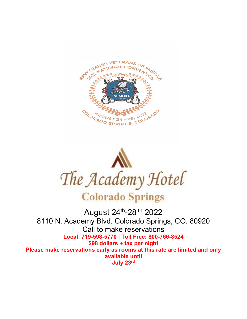



August 24th-28 th 2022 8110 N. Academy Blvd. Colorado Springs, CO. 80920 Call to make reservations **Local: 719-598-5770 | Toll Free: 800-766-8524 \$98 dollars + tax per night Please make reservations early as rooms at this rate are limited and only available until July 23rd**